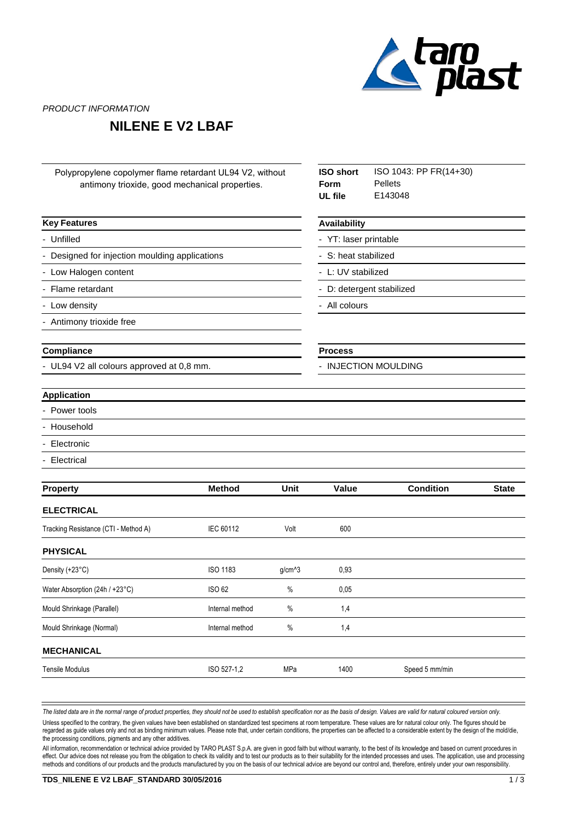

PRODUCT INFORMATION

## **NILENE E V2 LBAF**

| Polypropylene copolymer flame retardant UL94 V2, without<br>antimony trioxide, good mechanical properties. |                     |             | <b>ISO short</b><br>Form<br>UL file                                     | ISO 1043: PP FR(14+30)<br><b>Pellets</b><br>E143048 |  |  |                          |  |  |               |  |  |
|------------------------------------------------------------------------------------------------------------|---------------------|-------------|-------------------------------------------------------------------------|-----------------------------------------------------|--|--|--------------------------|--|--|---------------|--|--|
| <b>Key Features</b>                                                                                        | <b>Availability</b> |             |                                                                         |                                                     |  |  |                          |  |  |               |  |  |
| - Unfilled                                                                                                 |                     |             | - YT: laser printable                                                   |                                                     |  |  |                          |  |  |               |  |  |
| - Designed for injection moulding applications<br>- Low Halogen content<br>- Flame retardant               |                     |             | - S: heat stabilized<br>- L: UV stabilized<br>- D: detergent stabilized |                                                     |  |  |                          |  |  |               |  |  |
|                                                                                                            |                     |             |                                                                         |                                                     |  |  | - Low density            |  |  | - All colours |  |  |
|                                                                                                            |                     |             |                                                                         |                                                     |  |  | - Antimony trioxide free |  |  |               |  |  |
| Compliance                                                                                                 |                     |             | <b>Process</b>                                                          |                                                     |  |  |                          |  |  |               |  |  |
| - UL94 V2 all colours approved at 0,8 mm.                                                                  |                     |             | - INJECTION MOULDING                                                    |                                                     |  |  |                          |  |  |               |  |  |
| <b>Application</b>                                                                                         |                     |             |                                                                         |                                                     |  |  |                          |  |  |               |  |  |
| - Power tools                                                                                              |                     |             |                                                                         |                                                     |  |  |                          |  |  |               |  |  |
| Household                                                                                                  |                     |             |                                                                         |                                                     |  |  |                          |  |  |               |  |  |
| Electronic                                                                                                 |                     |             |                                                                         |                                                     |  |  |                          |  |  |               |  |  |
| Electrical                                                                                                 |                     |             |                                                                         |                                                     |  |  |                          |  |  |               |  |  |
| <b>Property</b>                                                                                            | <b>Method</b>       | <b>Unit</b> | Value                                                                   | <b>Condition</b><br><b>State</b>                    |  |  |                          |  |  |               |  |  |
| <b>ELECTRICAL</b>                                                                                          |                     |             |                                                                         |                                                     |  |  |                          |  |  |               |  |  |
| Tracking Resistance (CTI - Method A)                                                                       | IEC 60112           | Volt        | 600                                                                     |                                                     |  |  |                          |  |  |               |  |  |
| <b>PHYSICAL</b>                                                                                            |                     |             |                                                                         |                                                     |  |  |                          |  |  |               |  |  |
| Density (+23°C)                                                                                            | <b>ISO 1183</b>     | $g/cm^{3}$  | 0,93                                                                    |                                                     |  |  |                          |  |  |               |  |  |
| <b>ISO 62</b><br>Water Absorption (24h / +23°C)                                                            |                     | %           | 0,05                                                                    |                                                     |  |  |                          |  |  |               |  |  |
| Mould Shrinkage (Parallel)                                                                                 | Internal method     | $\%$        | 1,4                                                                     |                                                     |  |  |                          |  |  |               |  |  |
| Mould Shrinkage (Normal)                                                                                   | Internal method     | $\%$        | 1,4                                                                     |                                                     |  |  |                          |  |  |               |  |  |
| <b>MECHANICAL</b>                                                                                          |                     |             |                                                                         |                                                     |  |  |                          |  |  |               |  |  |
| <b>Tensile Modulus</b>                                                                                     | ISO 527-1,2         | MPa         | 1400                                                                    | Speed 5 mm/min                                      |  |  |                          |  |  |               |  |  |

The listed data are in the normal range of product properties, they should not be used to establish specification nor as the basis of design. Values are valid for natural coloured version only. Unless specified to the contrary, the given values have been established on standardized test specimens at room temperature. These values are for natural colour only. The figures should be regarded as guide values only and not as binding minimum values. Please note that, under certain conditions, the properties can be affected to a considerable extent by the design of the mold/die, the processing conditions, pigments and any other additives.

All information, recommendation or technical advice provided by TARO PLAST S.p.A. are given in good faith but without warranty, to the best of its knowledge and based on current procedures in effect. Our advice does not release you from the obligation to check its validity and to test our products as to their suitability for the intended processes and uses. The application, use and processing methods and conditions of our products and the products manufactured by you on the basis of our technical advice are beyond our control and, therefore, entirely under your own responsibility.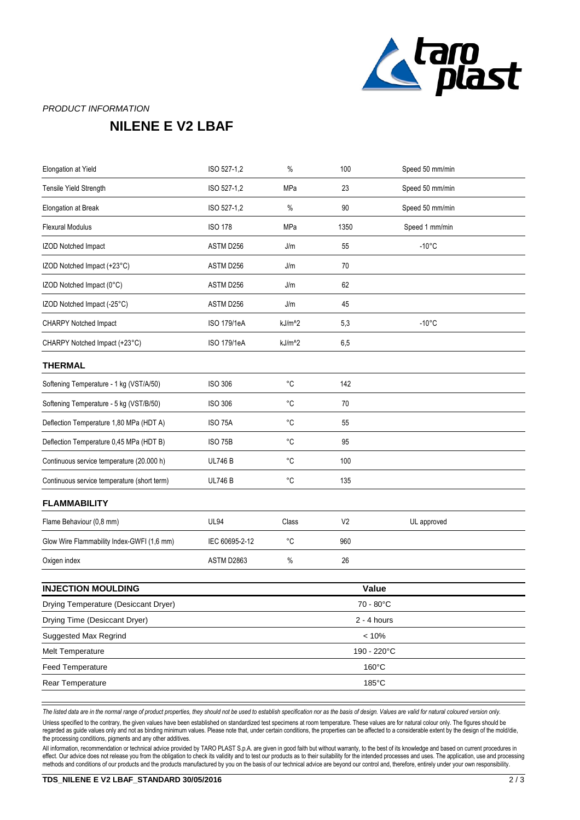

## PRODUCT INFORMATION

## **NILENE E V2 LBAF**

| Elongation at Yield                         | ISO 527-1,2        | %                  | 100            | Speed 50 mm/min |  |
|---------------------------------------------|--------------------|--------------------|----------------|-----------------|--|
| Tensile Yield Strength                      | ISO 527-1,2        | MPa                | 23             | Speed 50 mm/min |  |
| Elongation at Break                         | ISO 527-1,2        | $\%$               | 90             | Speed 50 mm/min |  |
| <b>Flexural Modulus</b>                     | <b>ISO 178</b>     | MPa                | 1350           | Speed 1 mm/min  |  |
| IZOD Notched Impact                         | ASTM D256          | J/m                | 55             | $-10^{\circ}$ C |  |
| IZOD Notched Impact (+23°C)                 | ASTM D256          | J/m                | 70             |                 |  |
| IZOD Notched Impact (0°C)                   | ASTM D256          | J/m                | 62             |                 |  |
| IZOD Notched Impact (-25°C)                 | ASTM D256          | J/m                | 45             |                 |  |
| <b>CHARPY Notched Impact</b>                | ISO 179/1eA        | kJ/m <sup>^2</sup> | 5,3            | $-10^{\circ}$ C |  |
| CHARPY Notched Impact (+23°C)               | <b>ISO 179/1eA</b> | kJ/m <sup>^2</sup> | 6,5            |                 |  |
| <b>THERMAL</b>                              |                    |                    |                |                 |  |
| Softening Temperature - 1 kg (VST/A/50)     | ISO 306            | $^{\circ}C$        | 142            |                 |  |
| Softening Temperature - 5 kg (VST/B/50)     | <b>ISO 306</b>     | $^{\circ}C$        | 70             |                 |  |
| Deflection Temperature 1,80 MPa (HDT A)     | <b>ISO 75A</b>     | $^{\circ}C$        | 55             |                 |  |
| Deflection Temperature 0,45 MPa (HDT B)     | <b>ISO 75B</b>     | $^{\circ}C$        | 95             |                 |  |
| Continuous service temperature (20.000 h)   | <b>UL746 B</b>     | $^{\circ}C$        | 100            |                 |  |
| Continuous service temperature (short term) | <b>UL746 B</b>     | $^{\circ}C$        | 135            |                 |  |
| <b>FLAMMABILITY</b>                         |                    |                    |                |                 |  |
| Flame Behaviour (0,8 mm)                    | <b>UL94</b>        | Class              | V <sub>2</sub> | UL approved     |  |
| Glow Wire Flammability Index-GWFI (1,6 mm)  | IEC 60695-2-12     | $^{\circ}{\rm C}$  | 960            |                 |  |
| Oxigen index                                | ASTM D2863         | $\%$               | 26             |                 |  |
| <b>INJECTION MOULDING</b>                   |                    |                    |                |                 |  |
|                                             |                    |                    | Value          |                 |  |
| Drying Temperature (Desiccant Dryer)        |                    | 70 - 80°C          |                |                 |  |
| Drying Time (Desiccant Dryer)               |                    | $2 - 4$ hours      |                |                 |  |
| Suggested Max Regrind                       |                    | $< 10\%$           |                |                 |  |
| Melt Temperature                            |                    | 190 - 220°C        |                |                 |  |
| <b>Feed Temperature</b>                     |                    |                    |                | 160°C           |  |

*The listed data are in the normal range of product properties, they should not be used to establish specification nor as the basis of design. Values are valid for natural coloured version only.*

Rear Temperature 185°C

Unless specified to the contrary, the given values have been established on standardized test specimens at room temperature. These values are for natural colour only. The figures should be regarded as guide values only and not as binding minimum values. Please note that, under certain conditions, the properties can be affected to a considerable extent by the design of the mold/die, the processing conditions, pigments and any other additives.

All information, recommendation or technical advice provided by TARO PLAST S.p.A. are given in good faith but without warranty, to the best of its knowledge and based on current procedures in effect. Our advice does not release you from the obligation to check its validity and to test our products as to their suitability for the intended processes and uses. The application, use and processing methods and conditions of our products and the products manufactured by you on the basis of our technical advice are beyond our control and, therefore, entirely under your own responsibility.